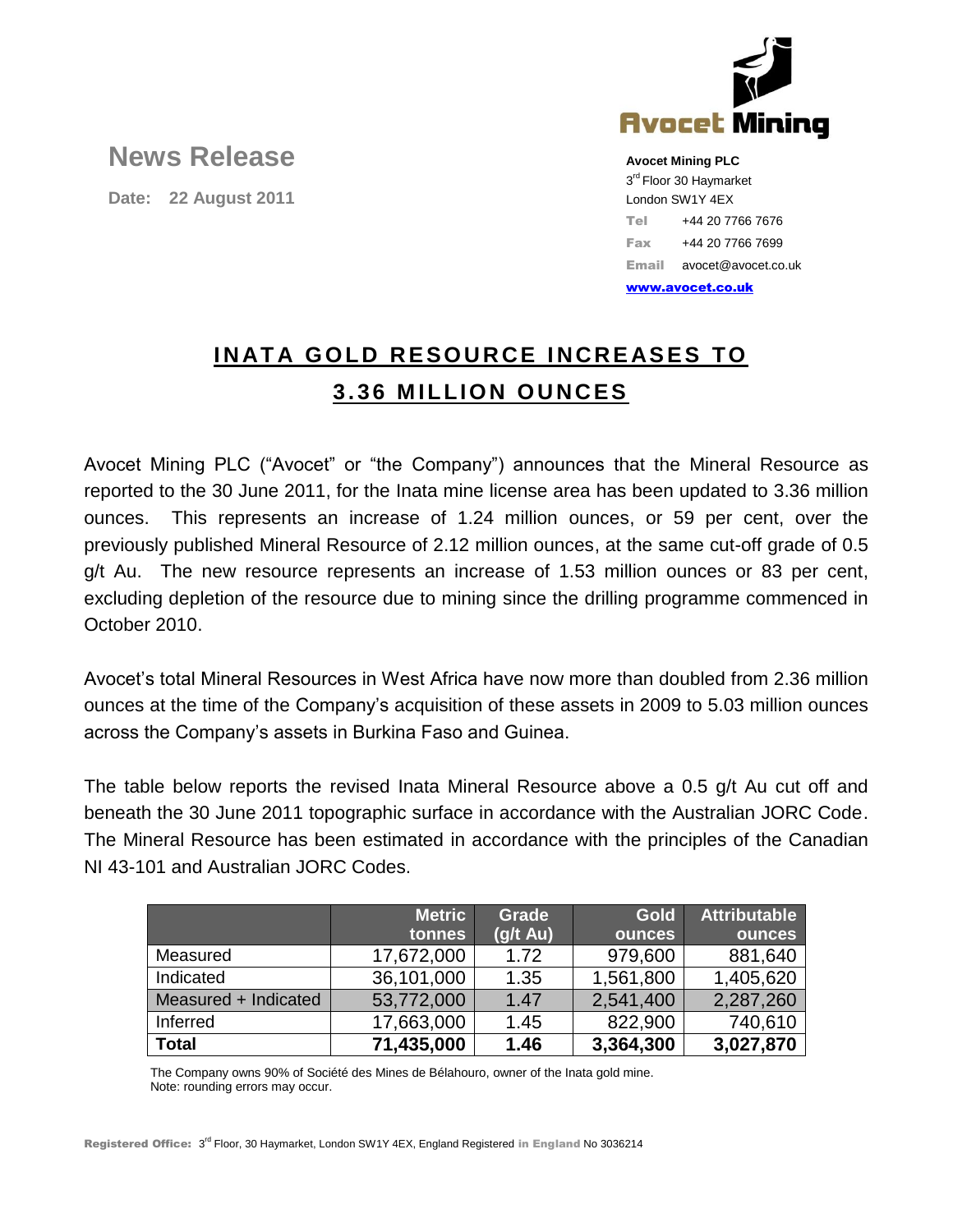

## **News Release**

**Date: 22 August 2011**

**Avocet Mining PLC** 3<sup>rd</sup> Floor 30 Haymarket London SW1Y 4EX Tel +44 20 7766 7676 Fax +44 20 7766 7699 Email avocet@avocet.co.uk

[www.avocet.co.uk](http://www.avocet.co.uk/)

## **INATA GOLD RESOURCE INCREASES TO 3.36 MILLION OUNCES**

Avocet Mining PLC ("Avocet" or "the Company") announces that the Mineral Resource as reported to the 30 June 2011, for the Inata mine license area has been updated to 3.36 million ounces. This represents an increase of 1.24 million ounces, or 59 per cent, over the previously published Mineral Resource of 2.12 million ounces, at the same cut-off grade of 0.5 g/t Au. The new resource represents an increase of 1.53 million ounces or 83 per cent, excluding depletion of the resource due to mining since the drilling programme commenced in October 2010.

Avocet's total Mineral Resources in West Africa have now more than doubled from 2.36 million ounces at the time of the Company's acquisition of these assets in 2009 to 5.03 million ounces across the Company's assets in Burkina Faso and Guinea.

The table below reports the revised Inata Mineral Resource above a 0.5 g/t Au cut off and beneath the 30 June 2011 topographic surface in accordance with the Australian JORC Code. The Mineral Resource has been estimated in accordance with the principles of the Canadian NI 43-101 and Australian JORC Codes.

|                      | <b>Metric</b> | <b>Grade</b>       | <b>Gold</b>   | <b>Attributable</b> |
|----------------------|---------------|--------------------|---------------|---------------------|
|                      | tonnes        | $(g/t \text{ Au})$ | <b>ounces</b> | ounces              |
| Measured             | 17,672,000    | 1.72               | 979,600       | 881,640             |
| Indicated            | 36,101,000    | 1.35               | 1,561,800     | 1,405,620           |
| Measured + Indicated | 53,772,000    | 1.47               | 2,541,400     | 2,287,260           |
| Inferred             | 17,663,000    | 1.45               | 822,900       | 740,610             |
| <b>Total</b>         | 71,435,000    | 1.46               | 3,364,300     | 3,027,870           |

The Company owns 90% of Société des Mines de Bélahouro, owner of the Inata gold mine. Note: rounding errors may occur.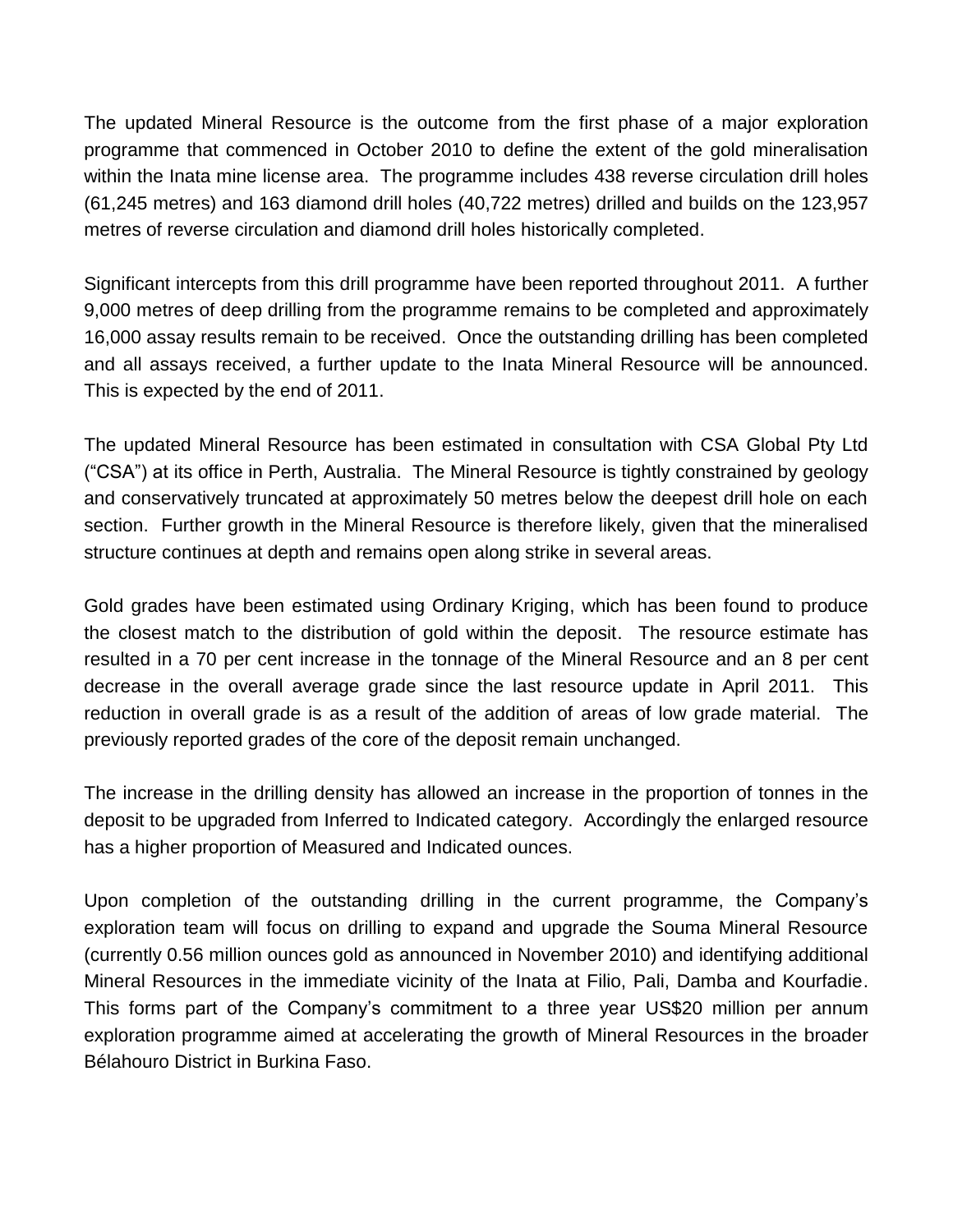The updated Mineral Resource is the outcome from the first phase of a major exploration programme that commenced in October 2010 to define the extent of the gold mineralisation within the Inata mine license area. The programme includes 438 reverse circulation drill holes (61,245 metres) and 163 diamond drill holes (40,722 metres) drilled and builds on the 123,957 metres of reverse circulation and diamond drill holes historically completed.

Significant intercepts from this drill programme have been reported throughout 2011. A further 9,000 metres of deep drilling from the programme remains to be completed and approximately 16,000 assay results remain to be received. Once the outstanding drilling has been completed and all assays received, a further update to the Inata Mineral Resource will be announced. This is expected by the end of 2011.

The updated Mineral Resource has been estimated in consultation with CSA Global Pty Ltd ("CSA") at its office in Perth, Australia. The Mineral Resource is tightly constrained by geology and conservatively truncated at approximately 50 metres below the deepest drill hole on each section. Further growth in the Mineral Resource is therefore likely, given that the mineralised structure continues at depth and remains open along strike in several areas.

Gold grades have been estimated using Ordinary Kriging, which has been found to produce the closest match to the distribution of gold within the deposit. The resource estimate has resulted in a 70 per cent increase in the tonnage of the Mineral Resource and an 8 per cent decrease in the overall average grade since the last resource update in April 2011. This reduction in overall grade is as a result of the addition of areas of low grade material. The previously reported grades of the core of the deposit remain unchanged.

The increase in the drilling density has allowed an increase in the proportion of tonnes in the deposit to be upgraded from Inferred to Indicated category. Accordingly the enlarged resource has a higher proportion of Measured and Indicated ounces.

Upon completion of the outstanding drilling in the current programme, the Company's exploration team will focus on drilling to expand and upgrade the Souma Mineral Resource (currently 0.56 million ounces gold as announced in November 2010) and identifying additional Mineral Resources in the immediate vicinity of the Inata at Filio, Pali, Damba and Kourfadie. This forms part of the Company's commitment to a three year US\$20 million per annum exploration programme aimed at accelerating the growth of Mineral Resources in the broader Bélahouro District in Burkina Faso.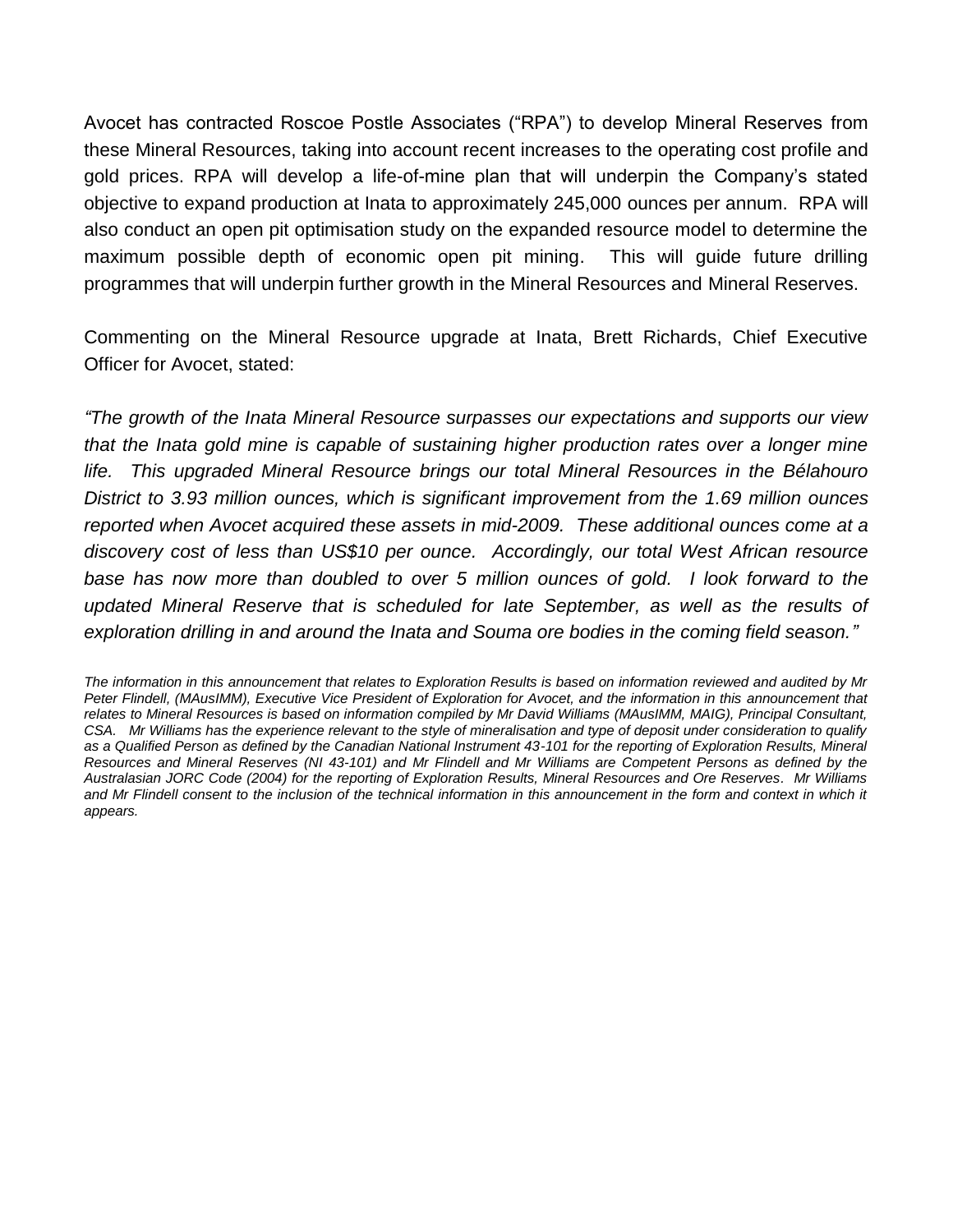Avocet has contracted Roscoe Postle Associates ("RPA") to develop Mineral Reserves from these Mineral Resources, taking into account recent increases to the operating cost profile and gold prices. RPA will develop a life-of-mine plan that will underpin the Company's stated objective to expand production at Inata to approximately 245,000 ounces per annum. RPA will also conduct an open pit optimisation study on the expanded resource model to determine the maximum possible depth of economic open pit mining. This will guide future drilling programmes that will underpin further growth in the Mineral Resources and Mineral Reserves.

Commenting on the Mineral Resource upgrade at Inata, Brett Richards, Chief Executive Officer for Avocet, stated:

*"The growth of the Inata Mineral Resource surpasses our expectations and supports our view that the Inata gold mine is capable of sustaining higher production rates over a longer mine life. This upgraded Mineral Resource brings our total Mineral Resources in the Bélahouro District to 3.93 million ounces, which is significant improvement from the 1.69 million ounces reported when Avocet acquired these assets in mid-2009. These additional ounces come at a discovery cost of less than US\$10 per ounce. Accordingly, our total West African resource*  base has now more than doubled to over 5 million ounces of gold. I look forward to the *updated Mineral Reserve that is scheduled for late September, as well as the results of exploration drilling in and around the Inata and Souma ore bodies in the coming field season."*

*The information in this announcement that relates to Exploration Results is based on information reviewed and audited by Mr Peter Flindell, (MAusIMM), Executive Vice President of Exploration for Avocet, and the information in this announcement that relates to Mineral Resources is based on information compiled by Mr David Williams (MAusIMM, MAIG), Principal Consultant, CSA. Mr Williams has the experience relevant to the style of mineralisation and type of deposit under consideration to qualify as a Qualified Person as defined by the Canadian National Instrument 43-101 for the reporting of Exploration Results, Mineral Resources and Mineral Reserves (NI 43-101) and Mr Flindell and Mr Williams are Competent Persons as defined by the Australasian JORC Code (2004) for the reporting of Exploration Results, Mineral Resources and Ore Reserves. Mr Williams*  and Mr Flindell consent to the inclusion of the technical information in this announcement in the form and context in which it *appears.*